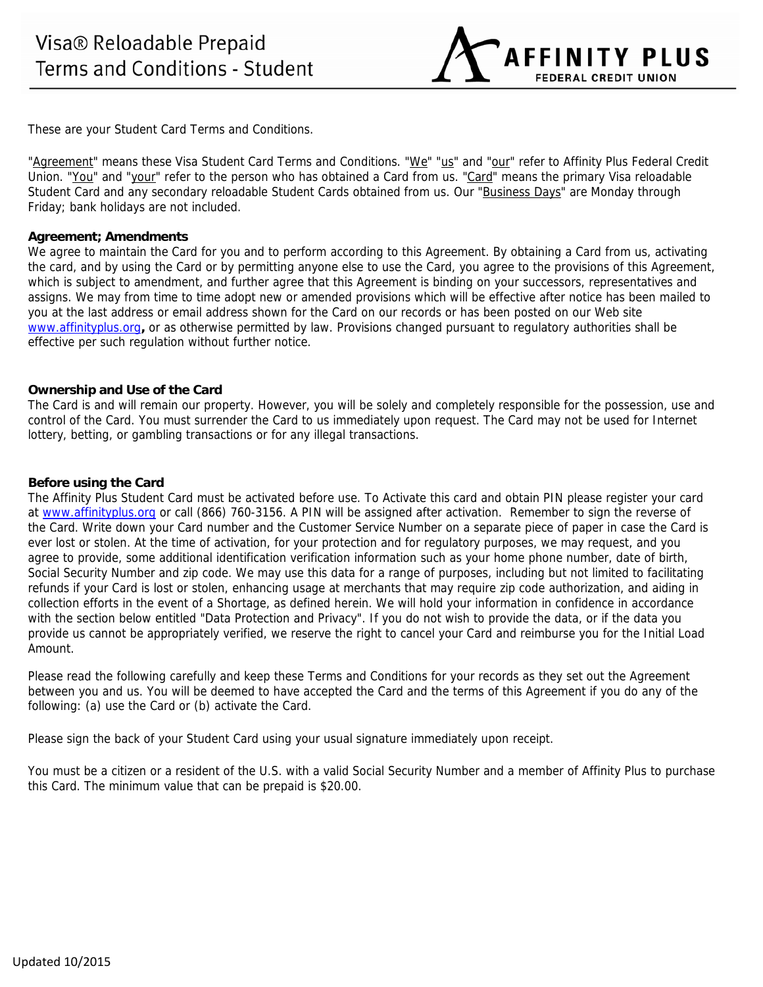**AFFINITY PLUS FEDERAL CREDIT UNION** 

These are your Student Card Terms and Conditions.

"Agreement" means these Visa Student Card Terms and Conditions. "We" "us" and "our" refer to Affinity Plus Federal Credit Union. "You" and "your" refer to the person who has obtained a Card from us. "Card" means the primary Visa reloadable Student Card and any secondary reloadable Student Cards obtained from us. Our "Business Days" are Monday through Friday; bank holidays are not included.

### **Agreement; Amendments**

We agree to maintain the Card for you and to perform according to this Agreement. By obtaining a Card from us, activating the card, and by using the Card or by permitting anyone else to use the Card, you agree to the provisions of this Agreement, which is subject to amendment, and further agree that this Agreement is binding on your successors, representatives and assigns. We may from time to time adopt new or amended provisions which will be effective after notice has been mailed to you at the last address or email address shown for the Card on our records or has been posted on our Web site www.affinityplus.org**,** or as otherwise permitted by law. Provisions changed pursuant to regulatory authorities shall be effective per such regulation without further notice.

## **Ownership and Use of the Card**

The Card is and will remain our property. However, you will be solely and completely responsible for the possession, use and control of the Card. You must surrender the Card to us immediately upon request. The Card may not be used for Internet lottery, betting, or gambling transactions or for any illegal transactions.

## **Before using the Card**

The Affinity Plus Student Card must be activated before use. To Activate this card and obtain PIN please register your card at www.affinityplus.org or call (866) 760-3156. A PIN will be assigned after activation. Remember to sign the reverse of the Card. Write down your Card number and the Customer Service Number on a separate piece of paper in case the Card is ever lost or stolen. At the time of activation, for your protection and for regulatory purposes, we may request, and you agree to provide, some additional identification verification information such as your home phone number, date of birth, Social Security Number and zip code. We may use this data for a range of purposes, including but not limited to facilitating refunds if your Card is lost or stolen, enhancing usage at merchants that may require zip code authorization, and aiding in collection efforts in the event of a Shortage, as defined herein. We will hold your information in confidence in accordance with the section below entitled "Data Protection and Privacy". If you do not wish to provide the data, or if the data you provide us cannot be appropriately verified, we reserve the right to cancel your Card and reimburse you for the Initial Load Amount.

Please read the following carefully and keep these Terms and Conditions for your records as they set out the Agreement between you and us. You will be deemed to have accepted the Card and the terms of this Agreement if you do any of the following: (a) use the Card or (b) activate the Card.

Please sign the back of your Student Card using your usual signature immediately upon receipt.

You must be a citizen or a resident of the U.S. with a valid Social Security Number and a member of Affinity Plus to purchase this Card. The minimum value that can be prepaid is \$20.00.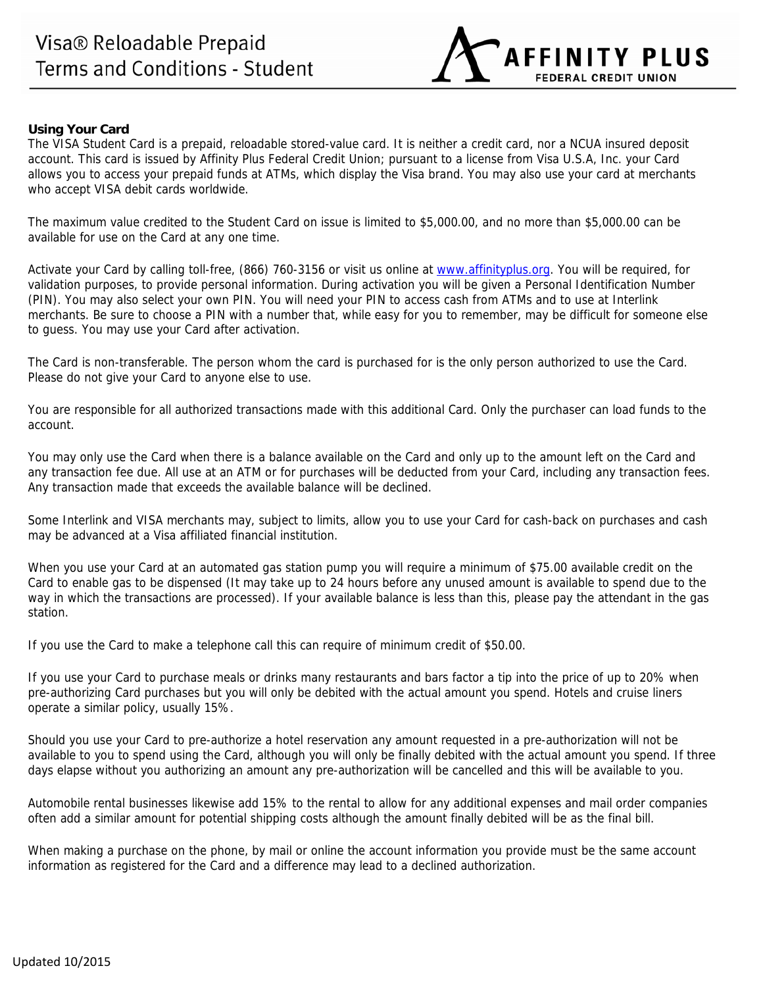

## **Using Your Card**

The VISA Student Card is a prepaid, reloadable stored-value card. It is neither a credit card, nor a NCUA insured deposit account. This card is issued by Affinity Plus Federal Credit Union; pursuant to a license from Visa U.S.A, Inc. your Card allows you to access your prepaid funds at ATMs, which display the Visa brand. You may also use your card at merchants who accept VISA debit cards worldwide.

The maximum value credited to the Student Card on issue is limited to \$5,000.00, and no more than \$5,000.00 can be available for use on the Card at any one time.

Activate your Card by calling toll-free, (866) 760-3156 or visit us online at www.affinityplus.org. You will be required, for validation purposes, to provide personal information. During activation you will be given a Personal Identification Number (PIN). You may also select your own PIN. You will need your PIN to access cash from ATMs and to use at Interlink merchants. Be sure to choose a PIN with a number that, while easy for you to remember, may be difficult for someone else to guess. You may use your Card after activation.

The Card is non-transferable. The person whom the card is purchased for is the only person authorized to use the Card. Please do not give your Card to anyone else to use.

You are responsible for all authorized transactions made with this additional Card. Only the purchaser can load funds to the account.

You may only use the Card when there is a balance available on the Card and only up to the amount left on the Card and any transaction fee due. All use at an ATM or for purchases will be deducted from your Card, including any transaction fees. Any transaction made that exceeds the available balance will be declined.

Some Interlink and VISA merchants may, subject to limits, allow you to use your Card for cash-back on purchases and cash may be advanced at a Visa affiliated financial institution.

When you use your Card at an automated gas station pump you will require a minimum of \$75.00 available credit on the Card to enable gas to be dispensed (It may take up to 24 hours before any unused amount is available to spend due to the way in which the transactions are processed). If your available balance is less than this, please pay the attendant in the gas station.

If you use the Card to make a telephone call this can require of minimum credit of \$50.00.

If you use your Card to purchase meals or drinks many restaurants and bars factor a tip into the price of up to 20% when pre-authorizing Card purchases but you will only be debited with the actual amount you spend. Hotels and cruise liners operate a similar policy, usually 15%.

Should you use your Card to pre-authorize a hotel reservation any amount requested in a pre-authorization will not be available to you to spend using the Card, although you will only be finally debited with the actual amount you spend. If three days elapse without you authorizing an amount any pre-authorization will be cancelled and this will be available to you.

Automobile rental businesses likewise add 15% to the rental to allow for any additional expenses and mail order companies often add a similar amount for potential shipping costs although the amount finally debited will be as the final bill.

When making a purchase on the phone, by mail or online the account information you provide must be the same account information as registered for the Card and a difference may lead to a declined authorization.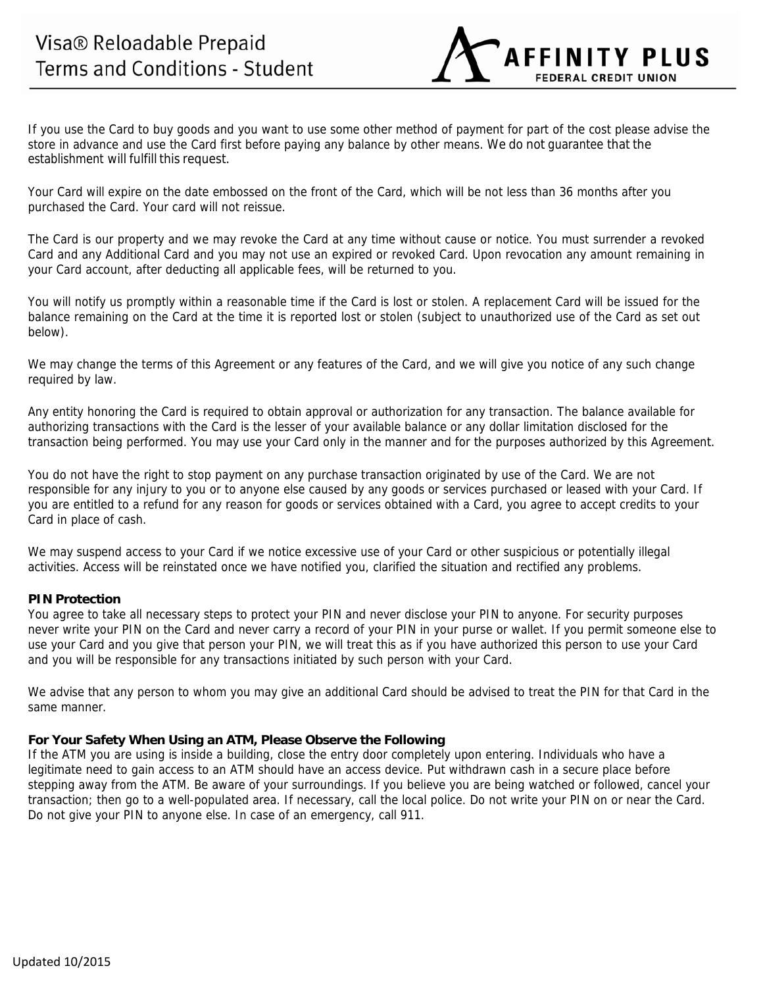If you use the Card to buy goods and you want to use some other method of payment for part of the cost please advise the store in advance and use the Card first before paying any balance by other means. We do not guarantee that the establishment will fulfill this request.

**AFFINITY PLUS** 

**FEDERAL CREDIT UNION** 

Your Card will expire on the date embossed on the front of the Card, which will be not less than 36 months after you purchased the Card. Your card will not reissue.

The Card is our property and we may revoke the Card at any time without cause or notice. You must surrender a revoked Card and any Additional Card and you may not use an expired or revoked Card. Upon revocation any amount remaining in your Card account, after deducting all applicable fees, will be returned to you.

You will notify us promptly within a reasonable time if the Card is lost or stolen. A replacement Card will be issued for the balance remaining on the Card at the time it is reported lost or stolen (subject to unauthorized use of the Card as set out below).

We may change the terms of this Agreement or any features of the Card, and we will give you notice of any such change required by law.

Any entity honoring the Card is required to obtain approval or authorization for any transaction. The balance available for authorizing transactions with the Card is the lesser of your available balance or any dollar limitation disclosed for the transaction being performed. You may use your Card only in the manner and for the purposes authorized by this Agreement.

You do not have the right to stop payment on any purchase transaction originated by use of the Card. We are not responsible for any injury to you or to anyone else caused by any goods or services purchased or leased with your Card. If you are entitled to a refund for any reason for goods or services obtained with a Card, you agree to accept credits to your Card in place of cash.

We may suspend access to your Card if we notice excessive use of your Card or other suspicious or potentially illegal activities. Access will be reinstated once we have notified you, clarified the situation and rectified any problems.

## **PIN Protection**

You agree to take all necessary steps to protect your PIN and never disclose your PIN to anyone. For security purposes never write your PIN on the Card and never carry a record of your PIN in your purse or wallet. If you permit someone else to use your Card and you give that person your PIN, we will treat this as if you have authorized this person to use your Card and you will be responsible for any transactions initiated by such person with your Card.

We advise that any person to whom you may give an additional Card should be advised to treat the PIN for that Card in the same manner.

## **For Your Safety When Using an ATM, Please Observe the Following**

If the ATM you are using is inside a building, close the entry door completely upon entering. Individuals who have a legitimate need to gain access to an ATM should have an access device. Put withdrawn cash in a secure place before stepping away from the ATM. Be aware of your surroundings. If you believe you are being watched or followed, cancel your transaction; then go to a well-populated area. If necessary, call the local police. Do not write your PIN on or near the Card. Do not give your PIN to anyone else. In case of an emergency, call 911.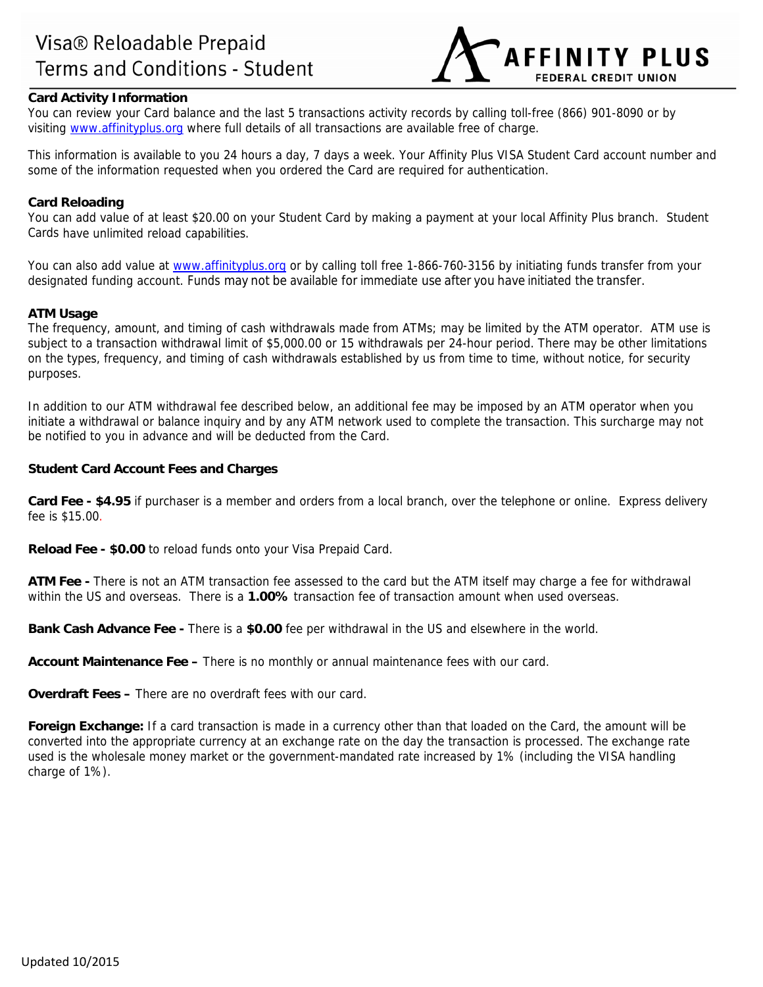

# **Card Activity Information**

You can review your Card balance and the last 5 transactions activity records by calling toll-free (866) 901-8090 or by visiting www.affinityplus.org where full details of all transactions are available free of charge.

This information is available to you 24 hours a day, 7 days a week. Your Affinity Plus VISA Student Card account number and some of the information requested when you ordered the Card are required for authentication.

### **Card Reloading**

You can add value of at least \$20.00 on your Student Card by making a payment at your local Affinity Plus branch. Student Cards have unlimited reload capabilities.

You can also add value at www.affinityplus.org or by calling toll free 1-866-760-3156 by initiating funds transfer from your designated funding account. Funds may not be available for immediate use after you have initiated the transfer.

#### **ATM Usage**

The frequency, amount, and timing of cash withdrawals made from ATMs; may be limited by the ATM operator. ATM use is subject to a transaction withdrawal limit of \$5,000.00 or 15 withdrawals per 24-hour period. There may be other limitations on the types, frequency, and timing of cash withdrawals established by us from time to time, without notice, for security purposes.

In addition to our ATM withdrawal fee described below, an additional fee may be imposed by an ATM operator when you initiate a withdrawal or balance inquiry and by any ATM network used to complete the transaction. This surcharge may not be notified to you in advance and will be deducted from the Card.

### **Student Card Account Fees and Charges**

**Card Fee - \$4.95** if purchaser is a member and orders from a local branch, over the telephone or online. Express delivery fee is \$15.00.

**Reload Fee - \$0.00** to reload funds onto your Visa Prepaid Card.

**ATM Fee -** There is not an ATM transaction fee assessed to the card but the ATM itself may charge a fee for withdrawal within the US and overseas. There is a **1.00%** transaction fee of transaction amount when used overseas.

**Bank Cash Advance Fee -** There is a **\$0.00** fee per withdrawal in the US and elsewhere in the world.

**Account Maintenance Fee –** There is no monthly or annual maintenance fees with our card.

**Overdraft Fees –** There are no overdraft fees with our card.

**Foreign Exchange:** If a card transaction is made in a currency other than that loaded on the Card, the amount will be converted into the appropriate currency at an exchange rate on the day the transaction is processed. The exchange rate used is the wholesale money market or the government-mandated rate increased by 1% (including the VISA handling charge of 1%).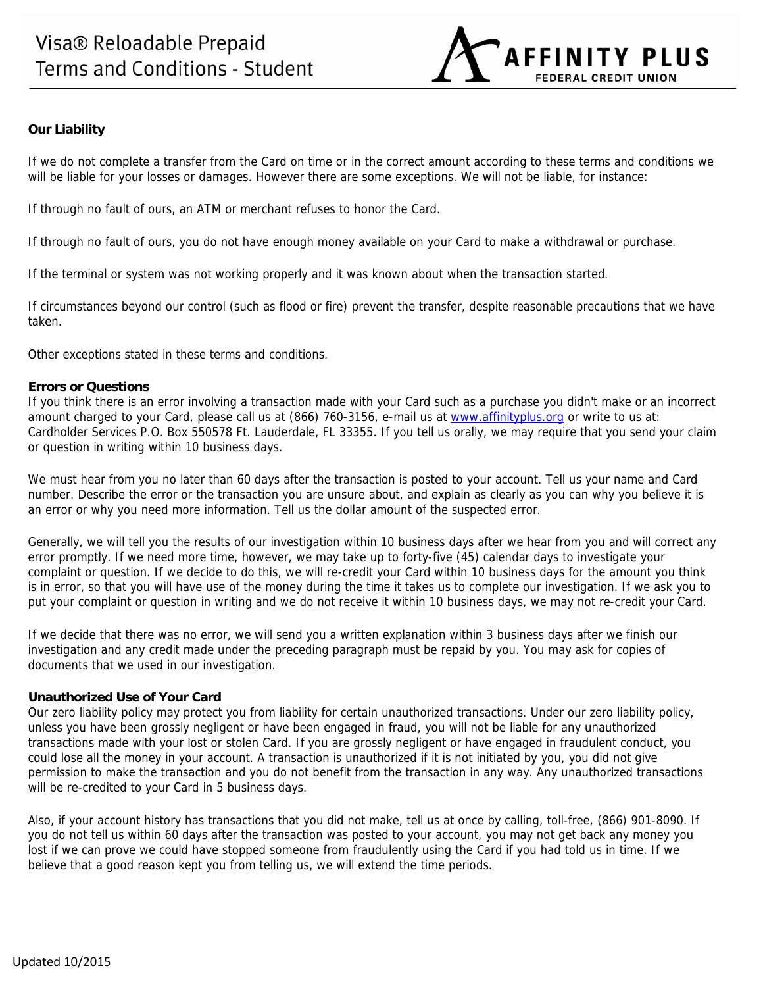

# **Our Liability**

If we do not complete a transfer from the Card on time or in the correct amount according to these terms and conditions we will be liable for your losses or damages. However there are some exceptions. We will not be liable, for instance:

If through no fault of ours, an ATM or merchant refuses to honor the Card.

If through no fault of ours, you do not have enough money available on your Card to make a withdrawal or purchase.

If the terminal or system was not working properly and it was known about when the transaction started.

If circumstances beyond our control (such as flood or fire) prevent the transfer, despite reasonable precautions that we have taken.

Other exceptions stated in these terms and conditions.

## **Errors or Questions**

If you think there is an error involving a transaction made with your Card such as a purchase you didn't make or an incorrect amount charged to your Card, please call us at (866) 760-3156, e-mail us at www.affinityplus.org or write to us at: Cardholder Services P.O. Box 550578 Ft. Lauderdale, FL 33355. If you tell us orally, we may require that you send your claim or question in writing within 10 business days.

We must hear from you no later than 60 days after the transaction is posted to your account. Tell us your name and Card number. Describe the error or the transaction you are unsure about, and explain as clearly as you can why you believe it is an error or why you need more information. Tell us the dollar amount of the suspected error.

Generally, we will tell you the results of our investigation within 10 business days after we hear from you and will correct any error promptly. If we need more time, however, we may take up to forty-five (45) calendar days to investigate your complaint or question. If we decide to do this, we will re-credit your Card within 10 business days for the amount you think is in error, so that you will have use of the money during the time it takes us to complete our investigation. If we ask you to put your complaint or question in writing and we do not receive it within 10 business days, we may not re-credit your Card.

If we decide that there was no error, we will send you a written explanation within 3 business days after we finish our investigation and any credit made under the preceding paragraph must be repaid by you. You may ask for copies of documents that we used in our investigation.

## **Unauthorized Use of Your Card**

Our zero liability policy may protect you from liability for certain unauthorized transactions. Under our zero liability policy, unless you have been grossly negligent or have been engaged in fraud, you will not be liable for any unauthorized transactions made with your lost or stolen Card. If you are grossly negligent or have engaged in fraudulent conduct, you could lose all the money in your account. A transaction is unauthorized if it is not initiated by you, you did not give permission to make the transaction and you do not benefit from the transaction in any way. Any unauthorized transactions will be re-credited to your Card in 5 business days.

Also, if your account history has transactions that you did not make, tell us at once by calling, toll-free, (866) 901-8090. If you do not tell us within 60 days after the transaction was posted to your account, you may not get back any money you lost if we can prove we could have stopped someone from fraudulently using the Card if you had told us in time. If we believe that a good reason kept you from telling us, we will extend the time periods.